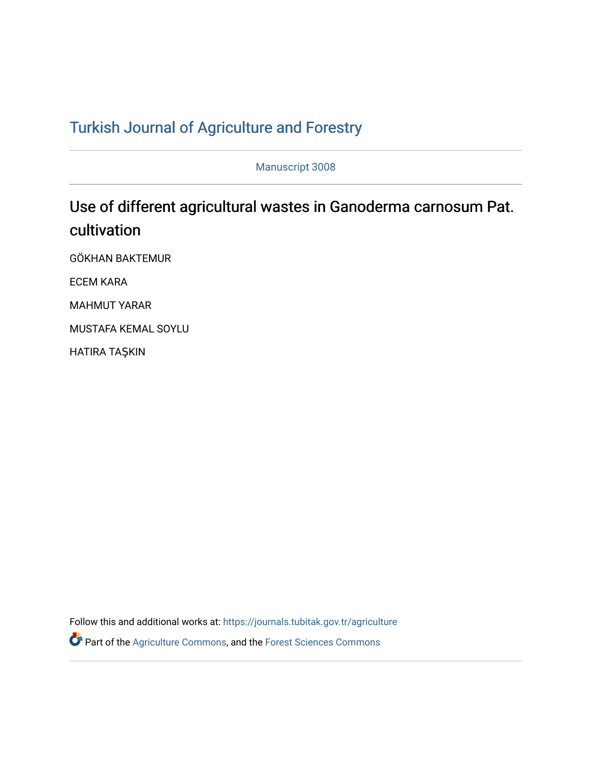## T[urkish Journal of Agriculture and F](https://journals.tubitak.gov.tr/agriculture)orestry

Manuscript 3008

# Use of different agricultural wastes in Ganoderma carnosum Pat. cultivation

GÖKHAN BAKTEMUR

ECEM KARA

MAHMUT YARAR

MUSTAFA KEMAL SOYLU

HATIRA TAŞKIN

Follow this and additional works at: [https://journals.tubitak.gov.tr/agriculture](https://journals.tubitak.gov.tr/agriculture?utm_source=journals.tubitak.gov.tr%2Fagriculture%2Fvol46%2Fiss3%2F8&utm_medium=PDF&utm_campaign=PDFCoverPages)

Part of the [Agriculture Commons](https://network.bepress.com/hgg/discipline/1076?utm_source=journals.tubitak.gov.tr%2Fagriculture%2Fvol46%2Fiss3%2F8&utm_medium=PDF&utm_campaign=PDFCoverPages), and the [Forest Sciences Commons](https://network.bepress.com/hgg/discipline/90?utm_source=journals.tubitak.gov.tr%2Fagriculture%2Fvol46%2Fiss3%2F8&utm_medium=PDF&utm_campaign=PDFCoverPages)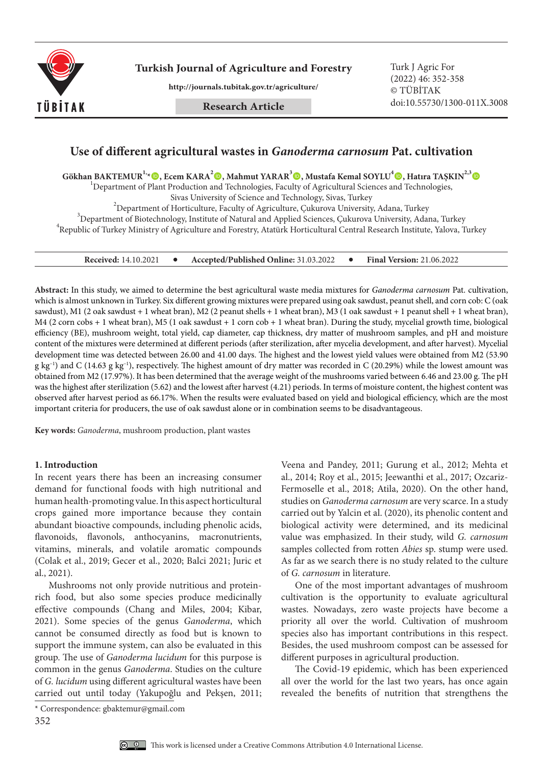

**Turkish Journal of Agriculture and Forestry Turk J Agric For** 

**http://journals.tubitak.gov.tr/agriculture/**

**Research Article**

(2022) 46: 352-358 © TÜBİTAK doi:10.55730/1300-011X.3008

### **Use of different agricultural wastes in** *Ganoderma carnosum* **Pat. cultivation**

**Gökhan BAKTEMUR<sup>1,</sup><sup>1</sup><sup>,</sup> (<b>b**), Ecem KARA<sup>2</sup> (**b**), Mahmut YARAR<sup>3</sup> (**b**), Mustafa Kemal SOYLU<sup>4</sup> (**b**), Hatıra TAŞKIN<sup>2,3</sup> (**b**)

 $1$ Department of Plant Production and Technologies, Faculty of Agricultural Sciences and Technologies,

Sivas University of Science and Technology, Sivas, Turkey <sup>2</sup>

 $^{2}$ Department of Horticulture, Faculty of Agriculture, Çukurova University, Adana, Turkey  $^3$ Department of Biotechnology, Institute of Natural and Applied Sciences, Çukurova University, Adana, Turkey Republic of Turkey Ministry of Agriculture and Forestry, Atatürk Horticultural Central Research Institute, Yalova, Turkey

**Received:** 14.10.2021 **Accepted/Published Online:** 31.03.2022 **Final Version:** 21.06.2022

**Abstract:** In this study, we aimed to determine the best agricultural waste media mixtures for *Ganoderma carnosum* Pat. cultivation, which is almost unknown in Turkey. Six different growing mixtures were prepared using oak sawdust, peanut shell, and corn cob: C (oak sawdust), M1 (2 oak sawdust + 1 wheat bran), M2 (2 peanut shells + 1 wheat bran), M3 (1 oak sawdust + 1 peanut shell + 1 wheat bran), M4 (2 corn cobs + 1 wheat bran), M5 (1 oak sawdust + 1 corn cob + 1 wheat bran). During the study, mycelial growth time, biological efficiency (BE), mushroom weight, total yield, cap diameter, cap thickness, dry matter of mushroom samples, and pH and moisture content of the mixtures were determined at different periods (after sterilization, after mycelia development, and after harvest). Mycelial development time was detected between 26.00 and 41.00 days. The highest and the lowest yield values were obtained from M2 (53.90  $g$  kg<sup>-1</sup>) and C (14.63 g kg<sup>-1</sup>), respectively. The highest amount of dry matter was recorded in C (20.29%) while the lowest amount was obtained from M2 (17.97%). It has been determined that the average weight of the mushrooms varied between 6.46 and 23.00 g. The pH was the highest after sterilization (5.62) and the lowest after harvest (4.21) periods. In terms of moisture content, the highest content was observed after harvest period as 66.17%. When the results were evaluated based on yield and biological efficiency, which are the most important criteria for producers, the use of oak sawdust alone or in combination seems to be disadvantageous.

**Key words:** *Ganoderma*, mushroom production, plant wastes

#### **1. Introduction**

In recent years there has been an increasing consumer demand for functional foods with high nutritional and human health-promoting value. In this aspect horticultural crops gained more importance because they contain abundant bioactive compounds, including phenolic acids, flavonoids, flavonols, anthocyanins, macronutrients, vitamins, minerals, and volatile aromatic compounds (Colak et al., 2019; Gecer et al., 2020; Balci 2021; Juric et al., 2021).

Mushrooms not only provide nutritious and proteinrich food, but also some species produce medicinally effective compounds (Chang and Miles, 2004; Kibar, 2021). Some species of the genus *Ganoderma*, which cannot be consumed directly as food but is known to support the immune system, can also be evaluated in this group. The use of *Ganoderma lucidum* for this purpose is common in the genus *Ganoderma*. Studies on the culture of *G. lucidum* using different agricultural wastes have been carried out until today (Yakupoğlu and Pekşen, 2011;

Veena and Pandey, 2011; Gurung et al., 2012; Mehta et al., 2014; Roy et al., 2015; Jeewanthi et al., 2017; Ozcariz-Fermoselle et al., 2018; Atila, 2020). On the other hand, studies on *Ganoderma carnosum* are very scarce. In a study carried out by Yalcin et al. (2020), its phenolic content and biological activity were determined, and its medicinal value was emphasized. In their study, wild *G. carnosum*  samples collected from rotten *Abies* sp. stump were used. As far as we search there is no study related to the culture of *G. carnosum* in literature.

One of the most important advantages of mushroom cultivation is the opportunity to evaluate agricultural wastes. Nowadays, zero waste projects have become a priority all over the world. Cultivation of mushroom species also has important contributions in this respect. Besides, the used mushroom compost can be assessed for different purposes in agricultural production.

The Covid-19 epidemic, which has been experienced all over the world for the last two years, has once again revealed the benefits of nutrition that strengthens the



<sup>\*</sup> Correspondence: gbaktemur@gmail.com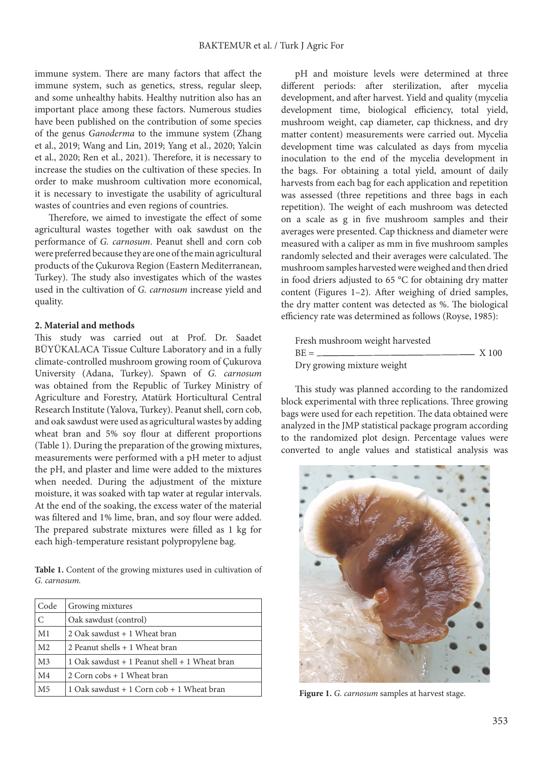immune system. There are many factors that affect the immune system, such as genetics, stress, regular sleep, and some unhealthy habits. Healthy nutrition also has an important place among these factors. Numerous studies have been published on the contribution of some species of the genus *Ganoderma* to the immune system (Zhang et al., 2019; Wang and Lin, 2019; Yang et al., 2020; Yalcin et al., 2020; Ren et al., 2021). Therefore, it is necessary to increase the studies on the cultivation of these species. In order to make mushroom cultivation more economical, it is necessary to investigate the usability of agricultural wastes of countries and even regions of countries.

Therefore, we aimed to investigate the effect of some agricultural wastes together with oak sawdust on the performance of *G. carnosum*. Peanut shell and corn cob were preferred because they are one of the main agricultural products of the Çukurova Region (Eastern Mediterranean, Turkey). The study also investigates which of the wastes used in the cultivation of *G. carnosum* increase yield and quality.

#### **2. Material and methods**

This study was carried out at Prof. Dr. Saadet BÜYÜKALACA Tissue Culture Laboratory and in a fully climate-controlled mushroom growing room of Çukurova University (Adana, Turkey). Spawn of *G. carnosum* was obtained from the Republic of Turkey Ministry of Agriculture and Forestry, Atatürk Horticultural Central Research Institute (Yalova, Turkey). Peanut shell, corn cob, and oak sawdust were used as agricultural wastes by adding wheat bran and 5% soy flour at different proportions (Table 1). During the preparation of the growing mixtures, measurements were performed with a pH meter to adjust the pH, and plaster and lime were added to the mixtures when needed. During the adjustment of the mixture moisture, it was soaked with tap water at regular intervals. At the end of the soaking, the excess water of the material was filtered and 1% lime, bran, and soy flour were added. The prepared substrate mixtures were filled as 1 kg for each high-temperature resistant polypropylene bag.

**Table 1.** Content of the growing mixtures used in cultivation of *G. carnosum.*

| Code           | Growing mixtures                              |
|----------------|-----------------------------------------------|
| $\mathcal{C}$  | Oak sawdust (control)                         |
| M1             | 2 Oak sawdust + 1 Wheat bran                  |
| M <sub>2</sub> | 2 Peanut shells + 1 Wheat bran                |
| M <sub>3</sub> | 1 Oak sawdust + 1 Peanut shell + 1 Wheat bran |
| M <sub>4</sub> | 2 Corn cobs + 1 Wheat bran                    |
| M <sub>5</sub> | 1 Oak sawdust + 1 Corn cob + 1 Wheat bran     |

pH and moisture levels were determined at three different periods: after sterilization, after mycelia development, and after harvest. Yield and quality (mycelia development time, biological efficiency, total yield, mushroom weight, cap diameter, cap thickness, and dry matter content) measurements were carried out. Mycelia development time was calculated as days from mycelia inoculation to the end of the mycelia development in the bags. For obtaining a total yield, amount of daily harvests from each bag for each application and repetition was assessed (three repetitions and three bags in each repetition). The weight of each mushroom was detected on a scale as g in five mushroom samples and their averages were presented. Cap thickness and diameter were measured with a caliper as mm in five mushroom samples randomly selected and their averages were calculated. The mushroom samples harvested were weighed and then dried in food driers adjusted to 65 °C for obtaining dry matter content (Figures 1–2). After weighing of dried samples, the dry matter content was detected as %. The biological efficiency rate was determined as follows (Royse, 1985):

| Fresh mushroom weight harvested |       |
|---------------------------------|-------|
| $BE =$                          | X 100 |
| Dry growing mixture weight      |       |

This study was planned according to the randomized block experimental with three replications. Three growing bags were used for each repetition. The data obtained were analyzed in the JMP statistical package program according to the randomized plot design. Percentage values were converted to angle values and statistical analysis was



Figure 1. G. carnosum samples at harvest stage.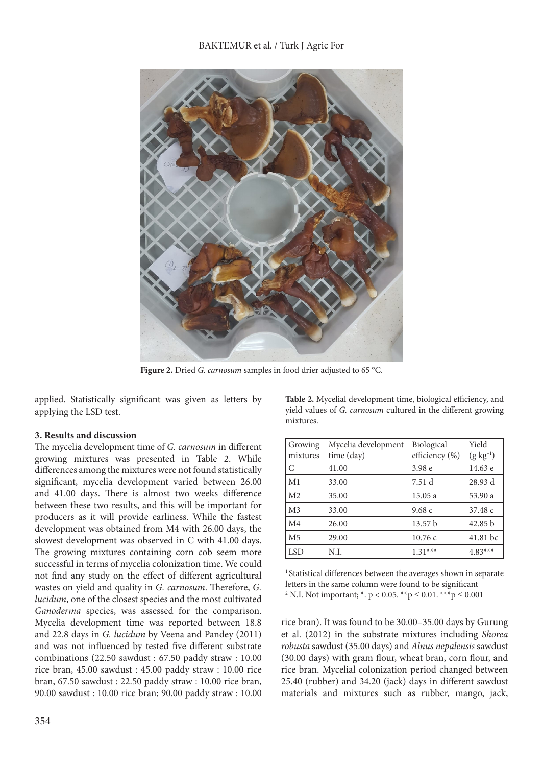

**Figure 2.** Dried *G. carnosum* samples in food drier adjusted to 65 °C.

applied. Statistically significant was given as letters by applying the LSD test.

#### **3. Results and discussion**

The mycelia development time of *G. carnosum* in different growing mixtures was presented in Table 2. While differences among the mixtures were not found statistically significant, mycelia development varied between 26.00 and 41.00 days. There is almost two weeks difference between these two results, and this will be important for producers as it will provide earliness. While the fastest development was obtained from M4 with 26.00 days, the slowest development was observed in C with 41.00 days. The growing mixtures containing corn cob seem more successful in terms of mycelia colonization time. We could not find any study on the effect of different agricultural wastes on yield and quality in *G. carnosum*. Therefore, *G. lucidum*, one of the closest species and the most cultivated *Ganoderma* species, was assessed for the comparison. Mycelia development time was reported between 18.8 and 22.8 days in *G. lucidum* by Veena and Pandey (2011) and was not influenced by tested five different substrate combinations (22.50 sawdust : 67.50 paddy straw : 10.00 rice bran, 45.00 sawdust : 45.00 paddy straw : 10.00 rice bran, 67.50 sawdust : 22.50 paddy straw : 10.00 rice bran, 90.00 sawdust : 10.00 rice bran; 90.00 paddy straw : 10.00

**Table 2.** Mycelial development time, biological efficiency, and yield values of *G. carnosum* cultured in the different growing mixtures.

| Growing        | Mycelia development | Biological         | Yield           |
|----------------|---------------------|--------------------|-----------------|
| mixtures       | time (day)          | efficiency (%)     | $(g \ kg^{-1})$ |
| C              | 41.00               | 3.98 e             | 14.63 e         |
| M1             | 33.00               | 7.51 d             | 28.93 d         |
| M <sub>2</sub> | 35.00               | 15.05 a            | 53.90 a         |
| M <sub>3</sub> | 33.00               | 9.68c              | 37.48 c         |
| M <sub>4</sub> | 26.00               | 13.57 <sub>b</sub> | 42.85 b         |
| M <sub>5</sub> | 29.00               | 10.76c             | 41.81 bc        |
| <b>LSD</b>     | N.I.                | $1.31***$          | $4.83***$       |

<sup>1</sup> Statistical differences between the averages shown in separate letters in the same column were found to be significant <sup>2</sup> N.I. Not important;  $*$ .  $p < 0.05$ .  $**$  $p \le 0.01$ .  $**$  $p \le 0.001$ 

rice bran). It was found to be 30.00–35.00 days by Gurung et al. (2012) in the substrate mixtures including *Shorea robusta* sawdust (35.00 days) and *Alnus nepalensis* sawdust (30.00 days) with gram flour, wheat bran, corn flour, and rice bran. Mycelial colonization period changed between 25.40 (rubber) and 34.20 (jack) days in different sawdust materials and mixtures such as rubber, mango, jack,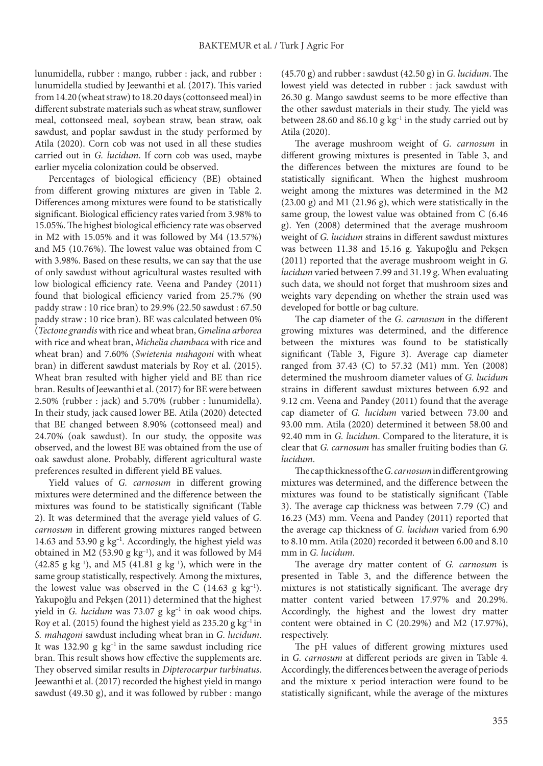lunumidella, rubber : mango, rubber : jack, and rubber : lunumidella studied by Jeewanthi et al. (2017). This varied from 14.20 (wheat straw) to 18.20 days (cottonseed meal) in different substrate materials such as wheat straw, sunflower meal, cottonseed meal, soybean straw, bean straw, oak sawdust, and poplar sawdust in the study performed by Atila (2020). Corn cob was not used in all these studies carried out in *G. lucidum*. If corn cob was used, maybe earlier mycelia colonization could be observed.

Percentages of biological efficiency (BE) obtained from different growing mixtures are given in Table 2. Differences among mixtures were found to be statistically significant. Biological efficiency rates varied from 3.98% to 15.05%. The highest biological efficiency rate was observed in M2 with 15.05% and it was followed by M4 (13.57%) and M5 (10.76%). The lowest value was obtained from C with 3.98%. Based on these results, we can say that the use of only sawdust without agricultural wastes resulted with low biological efficiency rate. Veena and Pandey (2011) found that biological efficiency varied from 25.7% (90 paddy straw : 10 rice bran) to 29.9% (22.50 sawdust : 67.50 paddy straw : 10 rice bran). BE was calculated between 0% (*Tectone grandis* with rice and wheat bran, *Gmelina arborea* with rice and wheat bran, *Michelia chambaca* with rice and wheat bran) and 7.60% (*Swietenia mahagoni* with wheat bran) in different sawdust materials by Roy et al. (2015). Wheat bran resulted with higher yield and BE than rice bran. Results of Jeewanthi et al. (2017) for BE were between 2.50% (rubber : jack) and 5.70% (rubber : lunumidella). In their study, jack caused lower BE. Atila (2020) detected that BE changed between 8.90% (cottonseed meal) and 24.70% (oak sawdust). In our study, the opposite was observed, and the lowest BE was obtained from the use of oak sawdust alone. Probably, different agricultural waste preferences resulted in different yield BE values.

Yield values of *G. carnosum* in different growing mixtures were determined and the difference between the mixtures was found to be statistically significant (Table 2). It was determined that the average yield values of *G. carnosum* in different growing mixtures ranged between 14.63 and 53.90  $g \text{ kg}^{-1}$ . Accordingly, the highest yield was obtained in M2 (53.90 g  $kg^{-1}$ ), and it was followed by M4 (42.85 g kg<sup>-1</sup>), and M5 (41.81 g kg<sup>-1</sup>), which were in the same group statistically, respectively. Among the mixtures, the lowest value was observed in the C  $(14.63 \text{ g kg}^{-1})$ . Yakupoğlu and Pekşen (2011) determined that the highest yield in *G. lucidum* was 73.07 g kg<sup>-1</sup> in oak wood chips. Roy et al. (2015) found the highest yield as  $235.20$  g kg<sup>-1</sup> in *S. mahagoni* sawdust including wheat bran in *G. lucidum*. It was 132.90 g  $kg^{-1}$  in the same sawdust including rice bran. This result shows how effective the supplements are. They observed similar results in *Dipterocarpur turbinatus*. Jeewanthi et al. (2017) recorded the highest yield in mango sawdust (49.30 g), and it was followed by rubber : mango

(45.70 g) and rubber : sawdust (42.50 g) in *G. lucidum*. The lowest yield was detected in rubber : jack sawdust with 26.30 g. Mango sawdust seems to be more effective than the other sawdust materials in their study. The yield was between 28.60 and 86.10 g  $kg^{-1}$  in the study carried out by Atila (2020).

The average mushroom weight of *G. carnosum* in different growing mixtures is presented in Table 3, and the differences between the mixtures are found to be statistically significant. When the highest mushroom weight among the mixtures was determined in the M2 (23.00 g) and M1 (21.96 g), which were statistically in the same group, the lowest value was obtained from C (6.46 g). Yen (2008) determined that the average mushroom weight of *G. lucidum* strains in different sawdust mixtures was between 11.38 and 15.16 g. Yakupoğlu and Pekşen (2011) reported that the average mushroom weight in *G. lucidum* varied between 7.99 and 31.19 g. When evaluating such data, we should not forget that mushroom sizes and weights vary depending on whether the strain used was developed for bottle or bag culture.

The cap diameter of the *G. carnosum* in the different growing mixtures was determined, and the difference between the mixtures was found to be statistically significant (Table 3, Figure 3). Average cap diameter ranged from 37.43 (C) to 57.32 (M1) mm. Yen (2008) determined the mushroom diameter values of *G. lucidum* strains in different sawdust mixtures between 6.92 and 9.12 cm. Veena and Pandey (2011) found that the average cap diameter of *G. lucidum* varied between 73.00 and 93.00 mm. Atila (2020) determined it between 58.00 and 92.40 mm in *G. lucidum*. Compared to the literature, it is clear that *G. carnosum* has smaller fruiting bodies than *G. lucidum*.

The cap thickness of the *G. carnosum* in different growing mixtures was determined, and the difference between the mixtures was found to be statistically significant (Table 3). The average cap thickness was between 7.79 (C) and 16.23 (M3) mm. Veena and Pandey (2011) reported that the average cap thickness of *G. lucidum* varied from 6.90 to 8.10 mm. Atila (2020) recorded it between 6.00 and 8.10 mm in *G. lucidum*.

The average dry matter content of *G. carnosum* is presented in Table 3, and the difference between the mixtures is not statistically significant. The average dry matter content varied between 17.97% and 20.29%. Accordingly, the highest and the lowest dry matter content were obtained in C (20.29%) and M2 (17.97%), respectively.

The pH values of different growing mixtures used in *G. carnosum* at different periods are given in Table 4. Accordingly, the differences between the average of periods and the mixture x period interaction were found to be statistically significant, while the average of the mixtures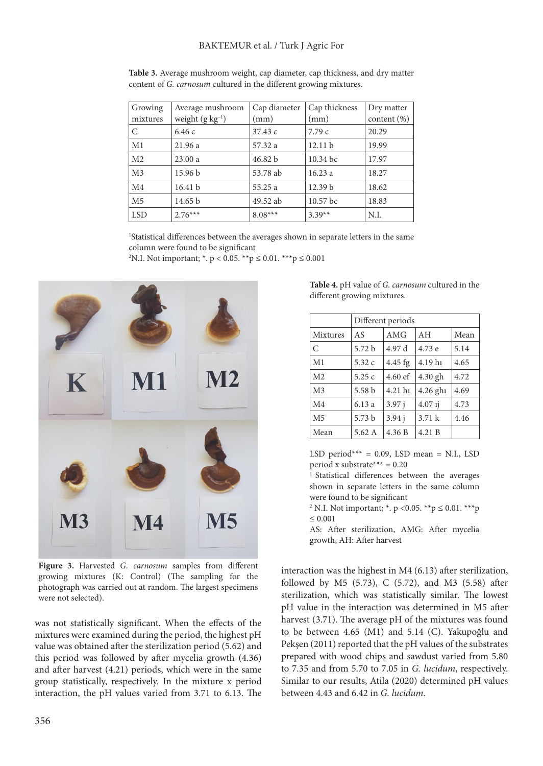| Growing        | Average mushroom       | Cap diameter | Cap thickness      | Dry matter      |
|----------------|------------------------|--------------|--------------------|-----------------|
| mixtures       | weight $(g \ kg^{-1})$ | (mm)         | (mm)               | content $(\% )$ |
| C              | 6.46c                  | 37.43 c      | 7.79c              | 20.29           |
| M1             | 21.96 a                | 57.32 a      | 12.11 b            | 19.99           |
| M <sub>2</sub> | 23.00a                 | 46.82 b      | 10.34 bc           | 17.97           |
| M <sub>3</sub> | 15.96 <sub>b</sub>     | 53.78 ab     | 16.23a             | 18.27           |
| M <sub>4</sub> | 16.41 b                | 55.25 a      | 12.39 <sub>b</sub> | 18.62           |
| M <sub>5</sub> | 14.65 b                | 49.52 ab     | 10.57 bc           | 18.83           |
| <b>LSD</b>     | $2.76***$              | $8.08***$    | $3.39**$           | N.I.            |

**Table 3.** Average mushroom weight, cap diameter, cap thickness, and dry matter content of *G. carnosum* cultured in the different growing mixtures.

1 Statistical differences between the averages shown in separate letters in the same column were found to be significant

2 N.I. Not important; \*. p < 0.05. \*\*p ≤ 0.01. \*\*\*p ≤ 0.001



**Figure 3.** Harvested *G. carnosum* samples from different growing mixtures (K: Control) (The sampling for the photograph was carried out at random. The largest specimens were not selected).

was not statistically significant. When the effects of the mixtures were examined during the period, the highest pH value was obtained after the sterilization period (5.62) and this period was followed by after mycelia growth (4.36) and after harvest (4.21) periods, which were in the same group statistically, respectively. In the mixture x period interaction, the pH values varied from 3.71 to 6.13. The **Table 4.** pH value of *G. carnosum* cultured in the different growing mixtures.

|                 | Different periods |           |           |      |
|-----------------|-------------------|-----------|-----------|------|
| <b>Mixtures</b> | AS                | AMG       | AH        | Mean |
| C               | 5.72 <sub>b</sub> | 4.97 d    | 4.73 e    | 5.14 |
| M <sub>1</sub>  | 5.32c             | $4.45$ fg | 4.19 hi   | 4.65 |
| M <sub>2</sub>  | 5.25c             | $4.60$ ef | 4.30 gh   | 4.72 |
| M <sub>3</sub>  | 5.58 <sub>b</sub> | 4.21 h1   | 4.26 ghi  | 4.69 |
| M <sub>4</sub>  | 6.13a             | $3.97$ j  | $4.07$ 1j | 4.73 |
| M <sub>5</sub>  | 5.73 b            | 3.94j     | 3.71k     | 4.46 |
| Mean            | 5.62 A            | 4.36 B    | 4.21 B    |      |

LSD period\*\*\* = 0.09, LSD mean = N.I., LSD period x substrate  $*** = 0.20$ 

<sup>1</sup> Statistical differences between the averages shown in separate letters in the same column were found to be significant

<sup>2</sup> N.I. Not important;  $*$ . p < 0.05.  $*$  $*$  $p \le 0.01$ .  $*$  $*$  $*$  $p$  $\leq 0.001$ 

AS: After sterilization, AMG: After mycelia growth, AH: After harvest

interaction was the highest in M4 (6.13) after sterilization, followed by M5 (5.73), C (5.72), and M3 (5.58) after sterilization, which was statistically similar. The lowest pH value in the interaction was determined in M5 after harvest (3.71). The average pH of the mixtures was found to be between 4.65 (M1) and 5.14 (C). Yakupoğlu and Pekşen (2011) reported that the pH values of the substrates prepared with wood chips and sawdust varied from 5.80 to 7.35 and from 5.70 to 7.05 in *G. lucidum*, respectively. Similar to our results, Atila (2020) determined pH values between 4.43 and 6.42 in *G. lucidum*.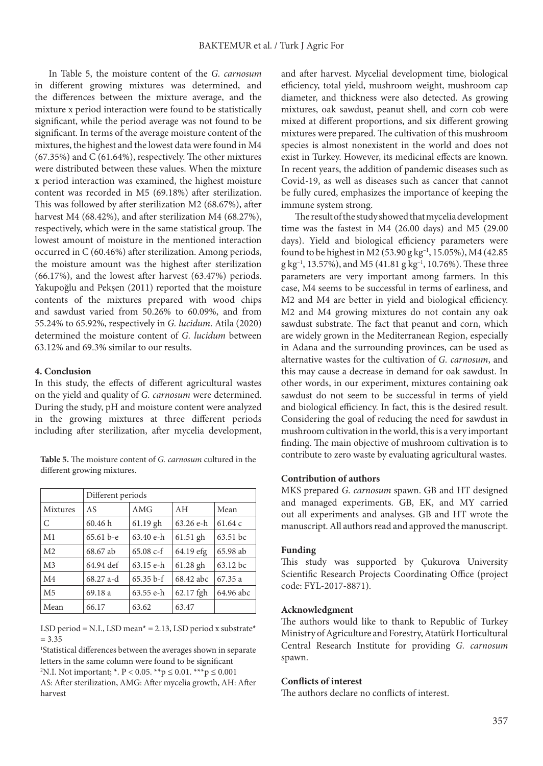In Table 5, the moisture content of the *G. carnosum* in different growing mixtures was determined, and the differences between the mixture average, and the mixture x period interaction were found to be statistically significant, while the period average was not found to be significant. In terms of the average moisture content of the mixtures, the highest and the lowest data were found in M4 (67.35%) and C (61.64%), respectively. The other mixtures were distributed between these values. When the mixture x period interaction was examined, the highest moisture content was recorded in M5 (69.18%) after sterilization. This was followed by after sterilization M2 (68.67%), after harvest M4 (68.42%), and after sterilization M4 (68.27%), respectively, which were in the same statistical group. The lowest amount of moisture in the mentioned interaction occurred in C (60.46%) after sterilization. Among periods, the moisture amount was the highest after sterilization (66.17%), and the lowest after harvest (63.47%) periods. Yakupoğlu and Pekşen (2011) reported that the moisture contents of the mixtures prepared with wood chips and sawdust varied from 50.26% to 60.09%, and from 55.24% to 65.92%, respectively in *G. lucidum*. Atila (2020) determined the moisture content of *G. lucidum* between 63.12% and 69.3% similar to our results.

#### **4. Conclusion**

In this study, the effects of different agricultural wastes on the yield and quality of *G. carnosum* were determined. During the study, pH and moisture content were analyzed in the growing mixtures at three different periods including after sterilization, after mycelia development,

**Table 5.** The moisture content of *G. carnosum* cultured in the different growing mixtures.

|                | Different periods |             |             |           |
|----------------|-------------------|-------------|-------------|-----------|
| Mixtures       | AS                | AMG         | AH          | Mean      |
| C              | 60.46h            | $61.19$ gh  | $63.26$ e-h | 61.64c    |
| M1             | $65.61b-e$        | $63.40$ e-h | $61.51$ gh  | 63.51 bc  |
| M <sub>2</sub> | 68.67 ab          | $65.08 c-f$ | 64.19 efg   | 65.98 ab  |
| M <sub>3</sub> | 64.94 def         | $63.15$ e-h | $61.28$ gh  | 63.12 bc  |
| M <sub>4</sub> | $68.27$ a-d       | $65.35b-f$  | 68.42 abc   | 67.35a    |
| M <sub>5</sub> | 69.18 a           | 63.55 e-h   | 62.17 fgh   | 64.96 abc |
| Mean           | 66.17             | 63.62       | 63.47       |           |

LSD period = N.I., LSD mean<sup>\*</sup> = 2.13, LSD period x substrate<sup>\*</sup>  $= 3.35$ 

1 Statistical differences between the averages shown in separate letters in the same column were found to be significant 2 N.I. Not important; \*. P < 0.05. \*\*p ≤ 0.01. \*\*\*p ≤ 0.001 AS: After sterilization, AMG: After mycelia growth, AH: After harvest

and after harvest. Mycelial development time, biological efficiency, total yield, mushroom weight, mushroom cap diameter, and thickness were also detected. As growing mixtures, oak sawdust, peanut shell, and corn cob were mixed at different proportions, and six different growing mixtures were prepared. The cultivation of this mushroom species is almost nonexistent in the world and does not exist in Turkey. However, its medicinal effects are known. In recent years, the addition of pandemic diseases such as Covid-19, as well as diseases such as cancer that cannot be fully cured, emphasizes the importance of keeping the immune system strong.

The result of the study showed that mycelia development time was the fastest in M4 (26.00 days) and M5 (29.00 days). Yield and biological efficiency parameters were found to be highest in M2 (53.90 g kg–1, 15.05%), M4 (42.85 g kg–1, 13.57%), and M5 (41.81 g kg–1, 10.76%). These three parameters are very important among farmers. In this case, M4 seems to be successful in terms of earliness, and M2 and M4 are better in yield and biological efficiency. M2 and M4 growing mixtures do not contain any oak sawdust substrate. The fact that peanut and corn, which are widely grown in the Mediterranean Region, especially in Adana and the surrounding provinces, can be used as alternative wastes for the cultivation of *G. carnosum*, and this may cause a decrease in demand for oak sawdust. In other words, in our experiment, mixtures containing oak sawdust do not seem to be successful in terms of yield and biological efficiency. In fact, this is the desired result. Considering the goal of reducing the need for sawdust in mushroom cultivation in the world, this is a very important finding. The main objective of mushroom cultivation is to contribute to zero waste by evaluating agricultural wastes.

#### **Contribution of authors**

MKS prepared *G. carnosum* spawn. GB and HT designed and managed experiments. GB, EK, and MY carried out all experiments and analyses. GB and HT wrote the manuscript. All authors read and approved the manuscript.

#### **Funding**

This study was supported by Çukurova University Scientific Research Projects Coordinating Office (project code: FYL-2017-8871).

#### **Acknowledgment**

The authors would like to thank to Republic of Turkey Ministry of Agriculture and Forestry, Atatürk Horticultural Central Research Institute for providing *G. carnosum* spawn.

#### **Conflicts of interest**

The authors declare no conflicts of interest.